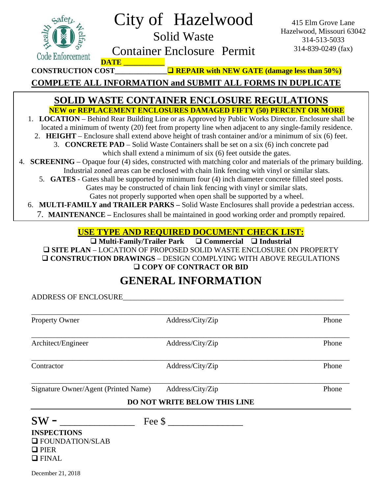| Code Enforcement                                                                                                                                                                                                                                                                                                                                                                                                                                                                                                                                                                                                                                                                                                                                                                                                                                                                                                                                                                                                                                                                                                                                                                                                                                                                                | City of Hazelwood<br><b>Solid Waste</b><br><b>Container Enclosure Permit</b><br><b>DATE</b>                                                                                                                                     | 415 Elm Grove Lane<br>Hazelwood, Missouri 63042<br>314-513-5033<br>314-839-0249 (fax) |  |  |
|-------------------------------------------------------------------------------------------------------------------------------------------------------------------------------------------------------------------------------------------------------------------------------------------------------------------------------------------------------------------------------------------------------------------------------------------------------------------------------------------------------------------------------------------------------------------------------------------------------------------------------------------------------------------------------------------------------------------------------------------------------------------------------------------------------------------------------------------------------------------------------------------------------------------------------------------------------------------------------------------------------------------------------------------------------------------------------------------------------------------------------------------------------------------------------------------------------------------------------------------------------------------------------------------------|---------------------------------------------------------------------------------------------------------------------------------------------------------------------------------------------------------------------------------|---------------------------------------------------------------------------------------|--|--|
| $\Box$ REPAIR with NEW GATE (damage less than 50%)<br><b>CONSTRUCTION COST</b><br><b>COMPLETE ALL INFORMATION and SUBMIT ALL FORMS IN DUPLICATE</b>                                                                                                                                                                                                                                                                                                                                                                                                                                                                                                                                                                                                                                                                                                                                                                                                                                                                                                                                                                                                                                                                                                                                             |                                                                                                                                                                                                                                 |                                                                                       |  |  |
| <b>SOLID WASTE CONTAINER ENCLOSURE REGULATIONS</b><br><b>NEW or REPLACEMENT ENCLOSURES DAMAGED FIFTY (50) PERCENT OR MORE</b><br>1. LOCATION – Behind Rear Building Line or as Approved by Public Works Director. Enclosure shall be<br>located a minimum of twenty (20) feet from property line when adjacent to any single-family residence.<br>2. HEIGHT – Enclosure shall extend above height of trash container and/or a minimum of six (6) feet.<br>3. CONCRETE PAD – Solid Waste Containers shall be set on a six (6) inch concrete pad<br>which shall extend a minimum of six (6) feet outside the gates.<br>4. SCREENING – Opaque four (4) sides, constructed with matching color and materials of the primary building.<br>Industrial zoned areas can be enclosed with chain link fencing with vinyl or similar slats.<br>5. GATES - Gates shall be supported by minimum four (4) inch diameter concrete filled steel posts.<br>Gates may be constructed of chain link fencing with vinyl or similar slats.<br>Gates not properly supported when open shall be supported by a wheel.<br>6. MULTI-FAMILY and TRAILER PARKS - Solid Waste Enclosures shall provide a pedestrian access.<br>7. MAINTENANCE – Enclosures shall be maintained in good working order and promptly repaired. |                                                                                                                                                                                                                                 |                                                                                       |  |  |
| <b>USE TYPE AND REQUIRED DOCUMENT CHECK LIST:</b>                                                                                                                                                                                                                                                                                                                                                                                                                                                                                                                                                                                                                                                                                                                                                                                                                                                                                                                                                                                                                                                                                                                                                                                                                                               |                                                                                                                                                                                                                                 |                                                                                       |  |  |
|                                                                                                                                                                                                                                                                                                                                                                                                                                                                                                                                                                                                                                                                                                                                                                                                                                                                                                                                                                                                                                                                                                                                                                                                                                                                                                 | $\Box$ Multi-Family/Trailer Park $\Box$ Commercial $\Box$ Industrial<br><b>O SITE PLAN – LOCATION OF PROPOSED SOLID WASTE ENCLOSURE ON PROPERTY</b><br><b>O CONSTRUCTION DRAWINGS - DESIGN COMPLYING WITH ABOVE REGULATIONS</b> |                                                                                       |  |  |

**COPY OF CONTRACT OR BID** 

## **GENERAL INFORMATION**

ADDRESS OF ENCLOSURE

| Property Owner                       | Address/City/Zip                    | Phone |
|--------------------------------------|-------------------------------------|-------|
| Architect/Engineer                   | Address/City/Zip                    | Phone |
| Contractor                           | Address/City/Zip                    | Phone |
| Signature Owner/Agent (Printed Name) | Address/City/Zip                    | Phone |
|                                      | <b>DO NOT WRITE BELOW THIS LINE</b> |       |
| $SW -$                               | Fee \$                              |       |
| <b>INSPECTIONS</b>                   |                                     |       |
| <b>Q</b> FOUNDATION/SLAB             |                                     |       |
| $\Box$ PIER                          |                                     |       |
| $\Box$ FINAL                         |                                     |       |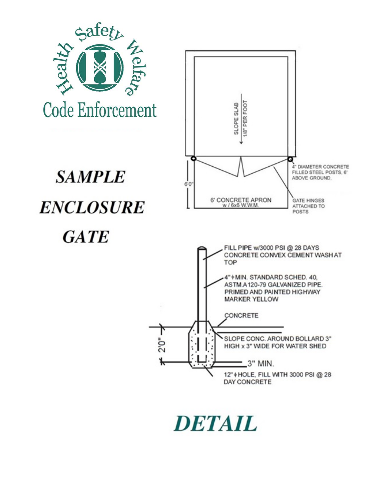

**DETAIL**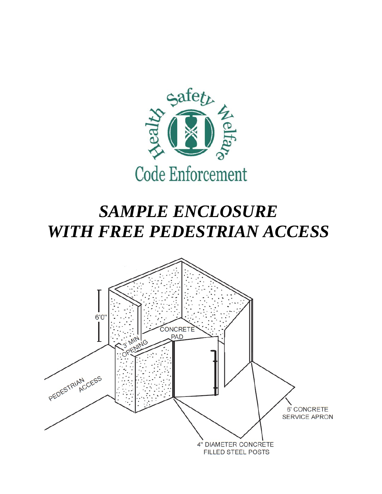

## *SAMPLE ENCLOSURE WITH FREE PEDESTRIAN ACCESS*